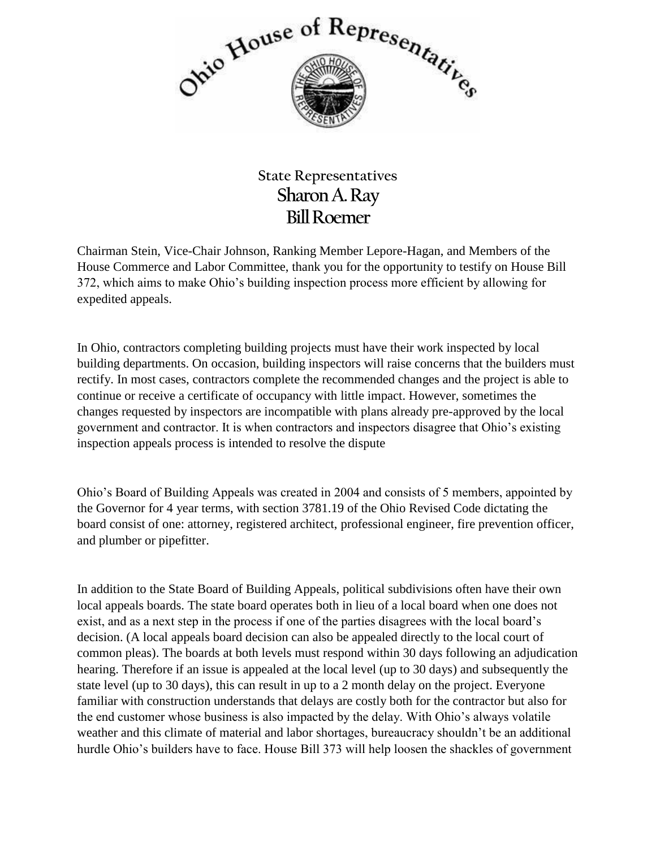

## **State Representatives Sharon A. Ray Bill Roemer**

Chairman Stein, Vice-Chair Johnson, Ranking Member Lepore-Hagan, and Members of the House Commerce and Labor Committee, thank you for the opportunity to testify on House Bill 372, which aims to make Ohio's building inspection process more efficient by allowing for expedited appeals.

In Ohio, contractors completing building projects must have their work inspected by local building departments. On occasion, building inspectors will raise concerns that the builders must rectify. In most cases, contractors complete the recommended changes and the project is able to continue or receive a certificate of occupancy with little impact. However, sometimes the changes requested by inspectors are incompatible with plans already pre-approved by the local government and contractor. It is when contractors and inspectors disagree that Ohio's existing inspection appeals process is intended to resolve the dispute

Ohio's Board of Building Appeals was created in 2004 and consists of 5 members, appointed by the Governor for 4 year terms, with section 3781.19 of the Ohio Revised Code dictating the board consist of one: attorney, registered architect, professional engineer, fire prevention officer, and plumber or pipefitter.

In addition to the State Board of Building Appeals, political subdivisions often have their own local appeals boards. The state board operates both in lieu of a local board when one does not exist, and as a next step in the process if one of the parties disagrees with the local board's decision. (A local appeals board decision can also be appealed directly to the local court of common pleas). The boards at both levels must respond within 30 days following an adjudication hearing. Therefore if an issue is appealed at the local level (up to 30 days) and subsequently the state level (up to 30 days), this can result in up to a 2 month delay on the project. Everyone familiar with construction understands that delays are costly both for the contractor but also for the end customer whose business is also impacted by the delay. With Ohio's always volatile weather and this climate of material and labor shortages, bureaucracy shouldn't be an additional hurdle Ohio's builders have to face. House Bill 373 will help loosen the shackles of government